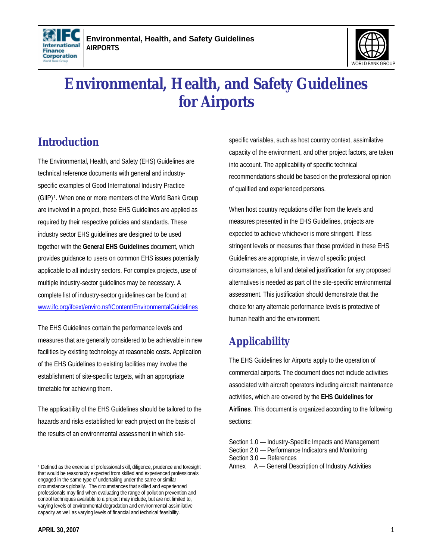



# **Environmental, Health, and Safety Guidelines for Airports**

## **Introduction**

The Environmental, Health, and Safety (EHS) Guidelines are technical reference documents with general and industryspecific examples of Good International Industry Practice (GIIP) <sup>1</sup> . When one or more members of the World Bank Group are involved in a project, these EHS Guidelines are applied as required by their respective policies and standards. These industry sector EHS guidelines are designed to be used together with the **General EHS Guidelines** document, which provides guidance to users on common EHS issues potentially applicable to all industry sectors. For complex projects, use of multiple industry-sector guidelines may be necessary. A complete list of industry-sector guidelines can be found at: www.ifc.org/ifcext/enviro.nsf/Content/EnvironmentalGuidelines

The EHS Guidelines contain the performance levels and measures that are generally considered to be achievable in new facilities by existing technology at reasonable costs. Application of the EHS Guidelines to existing facilities may involve the establishment of site-specific targets, with an appropriate timetable for achieving them.

The applicability of the EHS Guidelines should be tailored to the hazards and risks established for each project on the basis of the results of an environmental assessment in which sitespecific variables, such as host country context, assimilative capacity of the environment, and other project factors, are taken into account. The applicability of specific technical recommendations should be based on the professional opinion of qualified and experienced persons.

When host country regulations differ from the levels and measures presented in the EHS Guidelines, projects are expected to achieve whichever is more stringent. If less stringent levels or measures than those provided in these EHS Guidelines are appropriate, in view of specific project circumstances, a full and detailed justification for any proposed alternatives is needed as part of the site-specific environmental assessment. This justification should demonstrate that the choice for any alternate performance levels is protective of human health and the environment.

## **Applicability**

The EHS Guidelines for Airports apply to the operation of commercial airports. The document does not include activities associated with aircraft operators including aircraft maintenance activities, which are covered by the **EHS Guidelines for Airlines**. This document is organized according to the following sections:

<sup>1</sup> Defined as the exercise of professional skill, diligence, prudence and foresight that would be reasonably expected from skilled and experienced professionals engaged in the same type of undertaking under the same or similar circumstances globally. The circumstances that skilled and experienced professionals may find when evaluating the range of pollution prevention and control techniques available to a project may include, but are not limited to, varying levels of environmental degradation and environmental assimilative capacity as well as varying levels of financial and technical feasibility.

Section 1.0 — Industry-Specific Impacts and Management

Section 2.0 — Performance Indicators and Monitoring

Section 3.0 — References

Annex A — General Description of Industry Activities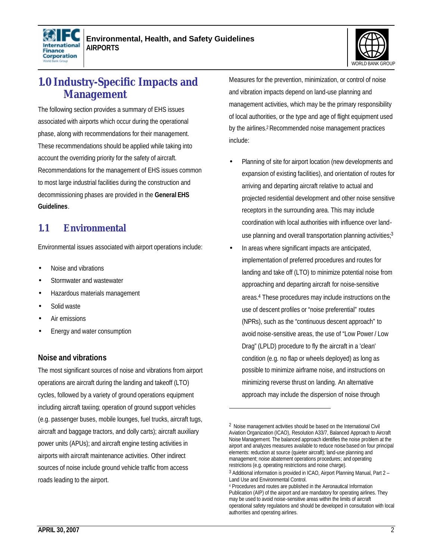



## **1.0 Industry-Specific Impacts and Management**

The following section provides a summary of EHS issues associated with airports which occur during the operational phase, along with recommendations for their management. These recommendations should be applied while taking into account the overriding priority for the safety of aircraft. Recommendations for the management of EHS issues common to most large industrial facilities during the construction and decommissioning phases are provided in the **General EHS Guidelines**.

### **1.1 Environmental**

Environmental issues associated with airport operations include:

- Noise and vibrations
- Stormwater and wastewater
- Hazardous materials management
- Solid waste
- Air emissions
- Energy and water consumption

#### **Noise and vibrations**

The most significant sources of noise and vibrations from airport operations are aircraft during the landing and takeoff (LTO) cycles, followed by a variety of ground operations equipment including aircraft taxiing; operation of ground support vehicles (e.g. passenger buses, mobile lounges, fuel trucks, aircraft tugs, aircraft and baggage tractors, and dolly carts); aircraft auxiliary power units (APUs); and aircraft engine testing activities in airports with aircraft maintenance activities. Other indirect sources of noise include ground vehicle traffic from access roads leading to the airport.

Measures for the prevention, minimization, or control of noise and vibration impacts depend on land-use planning and management activities, which may be the primary responsibility of local authorities, or the type and age of flight equipment used by the airlines.<sup>2</sup> Recommended noise management practices include:

- Planning of site for airport location (new developments and expansion of existing facilities), and orientation of routes for arriving and departing aircraft relative to actual and projected residential development and other noise sensitive receptors in the surrounding area. This may include coordination with local authorities with influence over landuse planning and overall transportation planning activities; $3$
- In areas where significant impacts are anticipated, implementation of preferred procedures and routes for landing and take off (LTO) to minimize potential noise from approaching and departing aircraft for noise-sensitive areas.<sup>4</sup> These procedures may include instructions on the use of descent profiles or "noise preferential" routes (NPRs), such as the "continuous descent approach" to avoid noise-sensitive areas, the use of "Low Power / Low Drag" (LPLD) procedure to fly the aircraft in a 'clean' condition (e.g. no flap or wheels deployed) as long as possible to minimize airframe noise, and instructions on minimizing reverse thrust on landing. An alternative approach may include the dispersion of noise through

1

<sup>&</sup>lt;sup>2</sup> Noise management activities should be based on the International Civil Aviation Organization (ICAO), Resolution A33/7, Balanced Approach to Aircraft Noise Management. The balanced approach identifies the noise problem at the airport and analyzes measures available to reduce noise based on four principal elements: reduction at source (quieter aircraft); land-use planning and management; noise abatement operations procedures; and operating restrictions (e.g. operating restrictions and noise charge).

<sup>&</sup>lt;sup>3</sup> Additional information is provided in ICAO, Airport Planning Manual, Part 2 -Land Use and Environmental Control.

<sup>4</sup> Procedures and routes are published in the Aeronautical Information Publication (AIP) of the airport and are mandatory for operating airlines. They may be used to avoid noise-sensitive areas within the limits of aircraft operational safety regulations and should be developed in consultation with local authorities and operating airlines.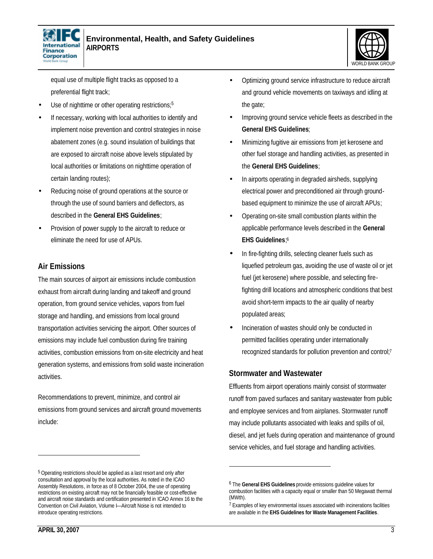



equal use of multiple flight tracks as opposed to a preferential flight track;

- Use of nighttime or other operating restrictions;<sup>5</sup>
- If necessary, working with local authorities to identify and implement noise prevention and control strategies in noise abatement zones (e.g. sound insulation of buildings that are exposed to aircraft noise above levels stipulated by local authorities or limitations on nighttime operation of certain landing routes);
- Reducing noise of ground operations at the source or through the use of sound barriers and deflectors, as described in the **General EHS Guidelines**;
- Provision of power supply to the aircraft to reduce or eliminate the need for use of APUs.

#### **Air Emissions**

The main sources of airport air emissions include combustion exhaust from aircraft during landing and takeoff and ground operation, from ground service vehicles, vapors from fuel storage and handling, and emissions from local ground transportation activities servicing the airport. Other sources of emissions may include fuel combustion during fire training activities, combustion emissions from on-site electricity and heat generation systems, and emissions from solid waste incineration activities.

Recommendations to prevent, minimize, and control air emissions from ground services and aircraft ground movements include:

- Optimizing ground service infrastructure to reduce aircraft and ground vehicle movements on taxiways and idling at the gate;
- Improving ground service vehicle fleets as described in the **General EHS Guidelines**;
- Minimizing fugitive air emissions from jet kerosene and other fuel storage and handling activities, as presented in the **General EHS Guidelines**;
- In airports operating in degraded airsheds, supplying electrical power and preconditioned air through groundbased equipment to minimize the use of aircraft APUs;
- Operating on-site small combustion plants within the applicable performance levels described in the **General EHS Guidelines**; 6
- In fire-fighting drills, selecting cleaner fuels such as liquefied petroleum gas, avoiding the use of waste oil or jet fuel (jet kerosene) where possible, and selecting firefighting drill locations and atmospheric conditions that best avoid short-term impacts to the air quality of nearby populated areas;
- Incineration of wastes should only be conducted in permitted facilities operating under internationally recognized standards for pollution prevention and control;<sup>7</sup>

#### **Stormwater and Wastewater**

 $\overline{a}$ 

Effluents from airport operations mainly consist of stormwater runoff from paved surfaces and sanitary wastewater from public and employee services and from airplanes. Stormwater runoff may include pollutants associated with leaks and spills of oil, diesel, and jet fuels during operation and maintenance of ground service vehicles, and fuel storage and handling activities.

l

<sup>&</sup>lt;sup>5</sup> Operating restrictions should be applied as a last resort and only after consultation and approval by the local authorities. As noted in the ICAO Assembly Resolutions, in force as of 8 October 2004, the use of operating restrictions on existing aircraft may not be financially feasible or cost-effective and aircraft noise standards and certification presented in ICAO Annex 16 to the Convention on Civil Aviation, Volume I—Aircraft Noise is not intended to introduce operating restrictions.

<sup>6</sup> The **General EHS Guidelines** provide emissions guideline values for combustion facilities with a capacity equal or smaller than 50 Megawatt thermal (MWth).

<sup>&</sup>lt;sup>7</sup> Examples of key environmental issues associated with incinerations facilities are available in the **EHS Guidelines for Waste Management Facilities**.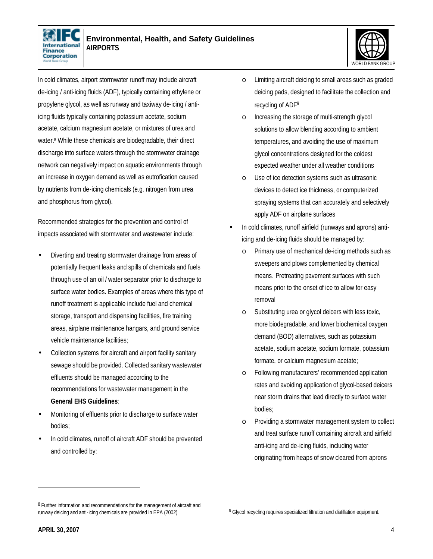



In cold climates, airport stormwater runoff may include aircraft de-icing / anti-icing fluids (ADF), typically containing ethylene or propylene glycol, as well as runway and taxiway de-icing / antiicing fluids typically containing potassium acetate, sodium acetate, calcium magnesium acetate, or mixtures of urea and water.<sup>8</sup> While these chemicals are biodegradable, their direct discharge into surface waters through the stormwater drainage network can negatively impact on aquatic environments through an increase in oxygen demand as well as eutrofication caused by nutrients from de-icing chemicals (e.g. nitrogen from urea and phosphorus from glycol).

Recommended strategies for the prevention and control of impacts associated with stormwater and wastewater include:

- Diverting and treating stormwater drainage from areas of potentially frequent leaks and spills of chemicals and fuels through use of an oil / water separator prior to discharge to surface water bodies. Examples of areas where this type of runoff treatment is applicable include fuel and chemical storage, transport and dispensing facilities, fire training areas, airplane maintenance hangars, and ground service vehicle maintenance facilities;
- Collection systems for aircraft and airport facility sanitary sewage should be provided. Collected sanitary wastewater effluents should be managed according to the recommendations for wastewater management in the **General EHS Guidelines**;
- Monitoring of effluents prior to discharge to surface water bodies;
- In cold climates, runoff of aircraft ADF should be prevented and controlled by:
- o Limiting aircraft deicing to small areas such as graded deicing pads, designed to facilitate the collection and recycling of ADF<sup>9</sup>
- o Increasing the storage of multi-strength glycol solutions to allow blending according to ambient temperatures, and avoiding the use of maximum glycol concentrations designed for the coldest expected weather under all weather conditions
- o Use of ice detection systems such as ultrasonic devices to detect ice thickness, or computerized spraying systems that can accurately and selectively apply ADF on airplane surfaces
- In cold climates, runoff airfield (runways and aprons) antiicing and de-icing fluids should be managed by:
	- Primary use of mechanical de-icing methods such as sweepers and plows complemented by chemical means. Pretreating pavement surfaces with such means prior to the onset of ice to allow for easy removal
	- o Substituting urea or glycol deicers with less toxic, more biodegradable, and lower biochemical oxygen demand (BOD) alternatives, such as potassium acetate, sodium acetate, sodium formate, potassium formate, or calcium magnesium acetate;
	- o Following manufacturers' recommended application rates and avoiding application of glycol-based deicers near storm drains that lead directly to surface water bodies;
	- o Providing a stormwater management system to collect and treat surface runoff containing aircraft and airfield anti-icing and de-icing fluids, including water originating from heaps of snow cleared from aprons

<u>.</u>

<sup>&</sup>lt;sup>8</sup> Further information and recommendations for the management of aircraft and runway deicing and anti-icing chemicals are provided in EPA (2002)

<sup>&</sup>lt;sup>9</sup> Glycol recycling requires specialized filtration and distillation equipment.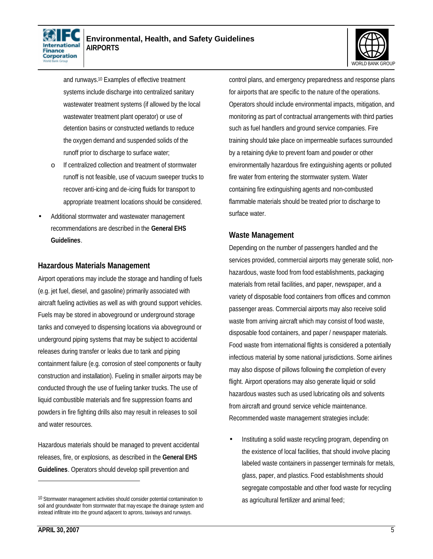



and runways.<sup>10</sup> Examples of effective treatment systems include discharge into centralized sanitary wastewater treatment systems (if allowed by the local wastewater treatment plant operator) or use of detention basins or constructed wetlands to reduce the oxygen demand and suspended solids of the runoff prior to discharge to surface water;

- o If centralized collection and treatment of stormwater runoff is not feasible, use of vacuum sweeper trucks to recover anti-icing and de-icing fluids for transport to appropriate treatment locations should be considered.
- Additional stormwater and wastewater management recommendations are described in the **General EHS Guidelines**.

#### **Hazardous Materials Management**

Airport operations may include the storage and handling of fuels (e.g. jet fuel, diesel, and gasoline) primarily associated with aircraft fueling activities as well as with ground support vehicles. Fuels may be stored in aboveground or underground storage tanks and conveyed to dispensing locations via aboveground or underground piping systems that may be subject to accidental releases during transfer or leaks due to tank and piping containment failure (e.g. corrosion of steel components or faulty construction and installation). Fueling in smaller airports may be conducted through the use of fueling tanker trucks. The use of liquid combustible materials and fire suppression foams and powders in fire fighting drills also may result in releases to soil and water resources.

Hazardous materials should be managed to prevent accidental releases, fire, or explosions, as described in the **General EHS Guidelines**. Operators should develop spill prevention and

control plans, and emergency preparedness and response plans for airports that are specific to the nature of the operations. Operators should include environmental impacts, mitigation, and monitoring as part of contractual arrangements with third parties such as fuel handlers and ground service companies. Fire training should take place on impermeable surfaces surrounded by a retaining dyke to prevent foam and powder or other environmentally hazardous fire extinguishing agents or polluted fire water from entering the stormwater system. Water containing fire extinguishing agents and non-combusted flammable materials should be treated prior to discharge to surface water.

#### **Waste Management**

Depending on the number of passengers handled and the services provided, commercial airports may generate solid, nonhazardous, waste food from food establishments, packaging materials from retail facilities, and paper, newspaper, and a variety of disposable food containers from offices and common passenger areas. Commercial airports may also receive solid waste from arriving aircraft which may consist of food waste, disposable food containers, and paper / newspaper materials. Food waste from international flights is considered a potentially infectious material by some national jurisdictions. Some airlines may also dispose of pillows following the completion of every flight. Airport operations may also generate liquid or solid hazardous wastes such as used lubricating oils and solvents from aircraft and ground service vehicle maintenance. Recommended waste management strategies include:

• Instituting a solid waste recycling program, depending on the existence of local facilities, that should involve placing labeled waste containers in passenger terminals for metals, glass, paper, and plastics. Food establishments should segregate compostable and other food waste for recycling as agricultural fertilizer and animal feed;

<sup>10</sup> Stormwater management activities should consider potential contamination to soil and groundwater from stormwater that may escape the drainage system and instead infiltrate into the ground adjacent to aprons, taxiways and runways.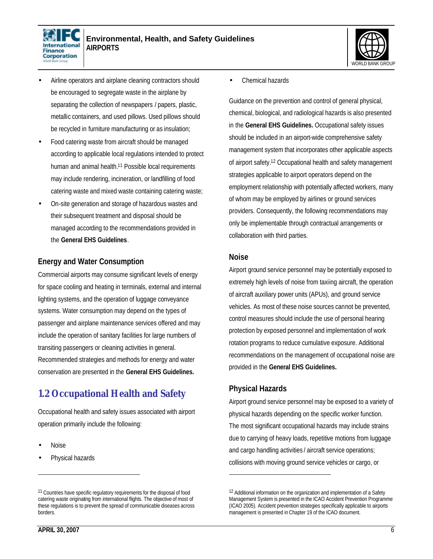



- Airline operators and airplane cleaning contractors should be encouraged to segregate waste in the airplane by separating the collection of newspapers / papers, plastic, metallic containers, and used pillows. Used pillows should be recycled in furniture manufacturing or as insulation;
- Food catering waste from aircraft should be managed according to applicable local regulations intended to protect human and animal health.<sup>11</sup> Possible local requirements may include rendering, incineration, or landfilling of food catering waste and mixed waste containing catering waste;
- On-site generation and storage of hazardous wastes and their subsequent treatment and disposal should be managed according to the recommendations provided in the **General EHS Guidelines**.

#### **Energy and Water Consumption**

Commercial airports may consume significant levels of energy for space cooling and heating in terminals, external and internal lighting systems, and the operation of luggage conveyance systems. Water consumption may depend on the types of passenger and airplane maintenance services offered and may include the operation of sanitary facilities for large numbers of transiting passengers or cleaning activities in general. Recommended strategies and methods for energy and water conservation are presented in the **General EHS Guidelines.**

## **1.2 Occupational Health and Safety**

Occupational health and safety issues associated with airport operation primarily include the following:

• Noise

l

Physical hazards

• Chemical hazards

Guidance on the prevention and control of general physical, chemical, biological, and radiological hazards is also presented in the **General EHS Guidelines.** Occupational safety issues should be included in an airport-wide comprehensive safety management system that incorporates other applicable aspects of airport safety.<sup>12</sup> Occupational health and safety management strategies applicable to airport operators depend on the employment relationship with potentially affected workers, many of whom may be employed by airlines or ground services providers. Consequently, the following recommendations may only be implementable through contractual arrangements or collaboration with third parties.

#### **Noise**

Airport ground service personnel may be potentially exposed to extremely high levels of noise from taxiing aircraft, the operation of aircraft auxiliary power units (APUs), and ground service vehicles. As most of these noise sources cannot be prevented, control measures should include the use of personal hearing protection by exposed personnel and implementation of work rotation programs to reduce cumulative exposure. Additional recommendations on the management of occupational noise are provided in the **General EHS Guidelines.**

#### **Physical Hazards**

l

Airport ground service personnel may be exposed to a variety of physical hazards depending on the specific worker function. The most significant occupational hazards may include strains due to carrying of heavy loads, repetitive motions from luggage and cargo handling activities / aircraft service operations; collisions with moving ground service vehicles or cargo, or

<sup>&</sup>lt;sup>11</sup> Countries have specific regulatory requirements for the disposal of food catering waste originating from international flights. The objective of most of these regulations is to prevent the spread of communicable diseases across borders.

<sup>&</sup>lt;sup>12</sup> Additional information on the organization and implementation of a Safety Management System is presented in the ICAO Accident Prevention Programme (ICAO 2005). Accident prevention strategies specifically applicable to airports management is presented in Chapter 19 of the ICAO document.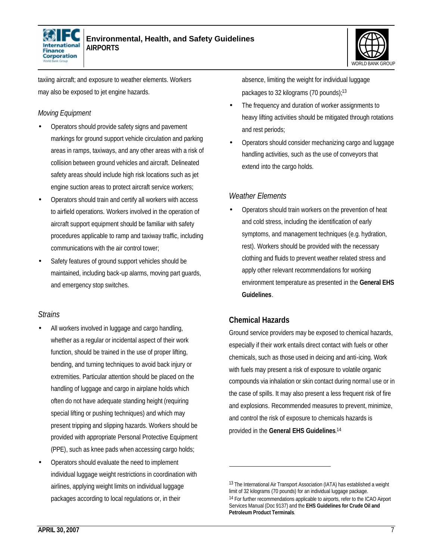



taxiing aircraft; and exposure to weather elements. Workers may also be exposed to jet engine hazards.

#### *Moving Equipment*

- Operators should provide safety signs and pavement markings for ground support vehicle circulation and parking areas in ramps, taxiways, and any other areas with a risk of collision between ground vehicles and aircraft. Delineated safety areas should include high risk locations such as jet engine suction areas to protect aircraft service workers;
- Operators should train and certify all workers with access to airfield operations. Workers involved in the operation of aircraft support equipment should be familiar with safety procedures applicable to ramp and taxiway traffic, including communications with the air control tower;
- Safety features of ground support vehicles should be maintained, including back-up alarms, moving part guards, and emergency stop switches.

#### *Strains*

- All workers involved in luggage and cargo handling, whether as a regular or incidental aspect of their work function, should be trained in the use of proper lifting, bending, and turning techniques to avoid back injury or extremities. Particular attention should be placed on the handling of luggage and cargo in airplane holds which often do not have adequate standing height (requiring special lifting or pushing techniques) and which may present tripping and slipping hazards. Workers should be provided with appropriate Personal Protective Equipment (PPE), such as knee pads when accessing cargo holds;
- Operators should evaluate the need to implement individual luggage weight restrictions in coordination with airlines, applying weight limits on individual luggage packages according to local regulations or, in their

absence, limiting the weight for individual luggage packages to 32 kilograms (70 pounds);<sup>13</sup>

- The frequency and duration of worker assignments to heavy lifting activities should be mitigated through rotations and rest periods;
- Operators should consider mechanizing cargo and luggage handling activities, such as the use of conveyors that extend into the cargo holds.

#### *Weather Elements*

• Operators should train workers on the prevention of heat and cold stress, including the identification of early symptoms, and management techniques (e.g. hydration, rest). Workers should be provided with the necessary clothing and fluids to prevent weather related stress and apply other relevant recommendations for working environment temperature as presented in the **General EHS Guidelines**.

#### **Chemical Hazards**

 $\overline{a}$ 

Ground service providers may be exposed to chemical hazards, especially if their work entails direct contact with fuels or other chemicals, such as those used in deicing and anti-icing. Work with fuels may present a risk of exposure to volatile organic compounds via inhalation or skin contact during normal use or in the case of spills. It may also present a less frequent risk of fire and explosions. Recommended measures to prevent, minimize, and control the risk of exposure to chemicals hazards is provided in the **General EHS Guidelines**. 14

<sup>13</sup> The International Air Transport Association (IATA) has established a weight limit of 32 kilograms (70 pounds) for an individual luggage package. <sup>14</sup> For further recommendations applicable to airports, refer to the ICAO Airport Services Manual (Doc 9137) and the **EHS Guidelines for Crude Oil and Petroleum Product Terminals**.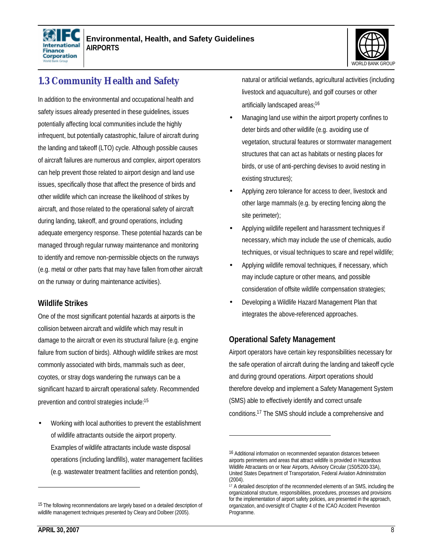



## **1.3 Community Health and Safety**

In addition to the environmental and occupational health and safety issues already presented in these guidelines, issues potentially affecting local communities include the highly infrequent, but potentially catastrophic, failure of aircraft during the landing and takeoff (LTO) cycle. Although possible causes of aircraft failures are numerous and complex, airport operators can help prevent those related to airport design and land use issues, specifically those that affect the presence of birds and other wildlife which can increase the likelihood of strikes by aircraft, and those related to the operational safety of aircraft during landing, takeoff, and ground operations, including adequate emergency response. These potential hazards can be managed through regular runway maintenance and monitoring to identify and remove non-permissible objects on the runways (e.g. metal or other parts that may have fallen fromother aircraft on the runway or during maintenance activities).

#### **Wildlife Strikes**

One of the most significant potential hazards at airports is the collision between aircraft and wildlife which may result in damage to the aircraft or even its structural failure (e.g. engine failure from suction of birds). Although wildlife strikes are most commonly associated with birds, mammals such as deer, coyotes, or stray dogs wandering the runways can be a significant hazard to aircraft operational safety. Recommended prevention and control strategies include:<sup>15</sup>

• Working with local authorities to prevent the establishment of wildlife attractants outside the airport property. Examples of wildlife attractants include waste disposal operations (including landfills), water management facilities (e.g. wastewater treatment facilities and retention ponds),

natural or artificial wetlands, agricultural activities (including livestock and aquaculture), and golf courses or other artificially landscaped areas;<sup>16</sup>

- Managing land use within the airport property confines to deter birds and other wildlife (e.g. avoiding use of vegetation, structural features or stormwater management structures that can act as habitats or nesting places for birds, or use of anti-perching devises to avoid nesting in existing structures);
- Applying zero tolerance for access to deer, livestock and other large mammals (e.g. by erecting fencing along the site perimeter);
- Applying wildlife repellent and harassment techniques if necessary, which may include the use of chemicals, audio techniques, or visual techniques to scare and repel wildlife;
- Applying wildlife removal techniques, if necessary, which may include capture or other means, and possible consideration of offsite wildlife compensation strategies;
- Developing a Wildlife Hazard Management Plan that integrates the above-referenced approaches.

#### **Operational Safety Management**

 $\overline{a}$ 

Airport operators have certain key responsibilities necessary for the safe operation of aircraft during the landing and takeoff cycle and during ground operations. Airport operations should therefore develop and implement a Safety Management System (SMS) able to effectively identify and correct unsafe conditions.<sup>17</sup> The SMS should include a comprehensive and

<sup>&</sup>lt;sup>15</sup> The following recommendations are largely based on a detailed description of wildlife management techniques presented by Cleary and Dolbeer (2005).

<sup>&</sup>lt;sup>16</sup> Additional information on recommended separation distances between airports perimeters and areas that attract wildlife is provided in Hazardous Wildlife Attractants on or Near Airports, Advisory Circular (150/5200-33A), United States Department of Transportation, Federal Aviation Administration (2004).

<sup>&</sup>lt;sup>17</sup> A detailed description of the recommended elements of an SMS, including the organizational structure, responsibilities, procedures, processes and provisions for the implementation of airport safety policies, are presented in the approach, organization, and oversight of Chapter 4 of the ICAO Accident Prevention Programme.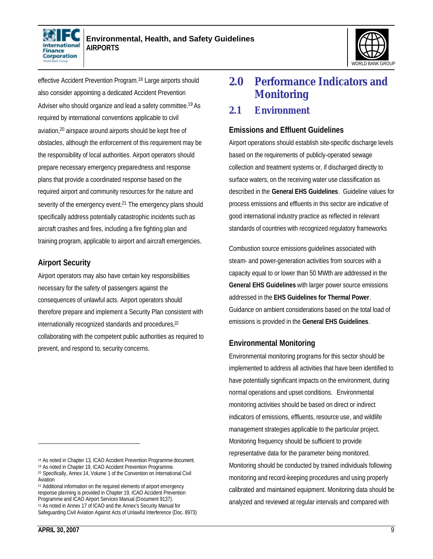



effective Accident Prevention Program.<sup>18</sup> Large airports should also consider appointing a dedicated Accident Prevention Adviser who should organize and lead a safety committee.<sup>19</sup> As required by international conventions applicable to civil aviation,20 airspace around airports should be kept free of obstacles, although the enforcement of this requirement may be the responsibility of local authorities. Airport operators should prepare necessary emergency preparedness and response plans that provide a coordinated response based on the required airport and community resources for the nature and severity of the emergency event.<sup>21</sup> The emergency plans should specifically address potentially catastrophic incidents such as aircraft crashes and fires, including a fire fighting plan and training program, applicable to airport and aircraft emergencies.

#### **Airport Security**

Airport operators may also have certain key responsibilities necessary for the safety of passengers against the consequences of unlawful acts. Airport operators should therefore prepare and implement a Security Plan consistent with internationally recognized standards and procedures,<sup>22</sup> collaborating with the competent public authorities as required to prevent, and respond to, security concerns.

<sup>21</sup> Additional information on the required elements of airport emergency response planning is provided in Chapter 19, ICAO Accident Prevention Programme and ICAO Airport Services Manual (Document 9137). <sup>22</sup> As noted in Annex 17 of ICAO and the Annex's Security Manual for

## **2.0 Performance Indicators and Monitoring**

#### **2.1 Environment**

#### **Emissions and Effluent Guidelines**

Airport operations should establish site-specific discharge levels based on the requirements of publicly-operated sewage collection and treatment systems or, if discharged directly to surface waters, on the receiving water use classification as described in the **General EHS Guidelines**. Guideline values for process emissions and effluents in this sector are indicative of good international industry practice as reflected in relevant standards of countries with recognized regulatory frameworks

Combustion source emissions guidelines associated with steam- and power-generation activities from sources with a capacity equal to or lower than 50 MWth are addressed in the **General EHS Guidelines** with larger power source emissions addressed in the **EHS Guidelines for Thermal Power**. Guidance on ambient considerations based on the total load of emissions is provided in the **General EHS Guidelines**.

#### **Environmental Monitoring**

Environmental monitoring programs for this sector should be implemented to address all activities that have been identified to have potentially significant impacts on the environment, during normal operations and upset conditions. Environmental monitoring activities should be based on direct or indirect indicators of emissions, effluents, resource use, and wildlife management strategies applicable to the particular project. Monitoring frequency should be sufficient to provide representative data for the parameter being monitored. Monitoring should be conducted by trained individuals following monitoring and record-keeping procedures and using properly calibrated and maintained equipment. Monitoring data should be analyzed and reviewed at regular intervals and compared with

<sup>18</sup> As noted in Chapter 13, ICAO Accident Prevention Programme document.

<sup>19</sup> As noted in Chapter 19, ICAO Accident Prevention Programme.

<sup>20</sup> Specifically, Annex 14, Volume 1 of the Convention on International Civil Aviation

Safeguarding Civil Aviation Against Acts of Unlawful Interference (Doc. 8973)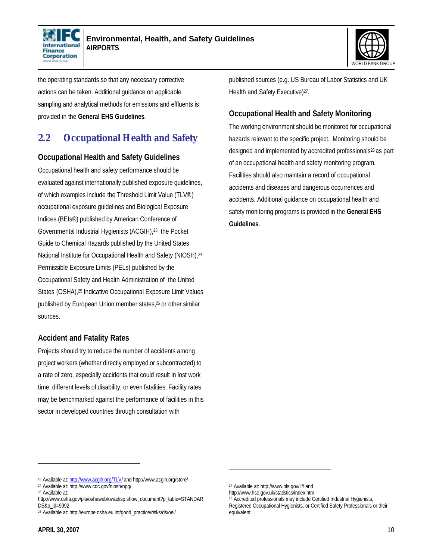



the operating standards so that any necessary corrective actions can be taken. Additional guidance on applicable sampling and analytical methods for emissions and effluents is provided in the **General EHS Guidelines**.

### **2.2 Occupational Health and Safety**

#### **Occupational Health and Safety Guidelines**

Occupational health and safety performance should be evaluated against internationally published exposure guidelines, of which examples include the Threshold Limit Value (TLV®) occupational exposure guidelines and Biological Exposure Indices (BEIs®) published by American Conference of Governmental Industrial Hygienists (ACGIH),23 the Pocket Guide to Chemical Hazards published by the United States National Institute for Occupational Health and Safety (NIOSH),<sup>24</sup> Permissible Exposure Limits (PELs) published by the Occupational Safety and Health Administration of the United States (OSHA),25 Indicative Occupational Exposure Limit Values published by European Union member states,26 or other similar sources.

#### **Accident and Fatality Rates**

Projects should try to reduce the number of accidents among project workers (whether directly employed or subcontracted) to a rate of zero, especially accidents that could result in lost work time, different levels of disability, or even fatalities. Facility rates may be benchmarked against the performance of facilities in this sector in developed countries through consultation with

published sources (e.g. US Bureau of Labor Statistics and UK Health and Safety Executive)<sup>27</sup>.

#### **Occupational Health and Safety Monitoring**

The working environment should be monitored for occupational hazards relevant to the specific project. Monitoring should be designed and implemented by accredited professionals<sup>28</sup> as part of an occupational health and safety monitoring program. Facilities should also maintain a record of occupational accidents and diseases and dangerous occurrences and accidents. Additional guidance on occupational health and safety monitoring programs is provided in the **General EHS Guidelines**.

 $\overline{a}$ 

<sup>&</sup>lt;sup>23</sup> Available at: http://www.acqih.org/TLV/ and http://www.acgih.org/store/

<sup>24</sup> Available at: http://www.cdc.gov/niosh/npg/

<sup>25</sup> Available at:

http://www.osha.gov/pls/oshaweb/owadisp.show\_document?p\_table=STANDAR DS&p\_id=9992

<sup>26</sup> Available at: http://europe.osha.eu.int/good\_practice/risks/ds/oel/

<sup>27</sup> Available at: http://www.bls.gov/iif/ and

http://www.hse.gov.uk/statistics/index.htm

<sup>28</sup> Accredited professionals may include Certified Industrial Hygienists, Registered Occupational Hygienists, or Certified Safety Professionals or their equivalent.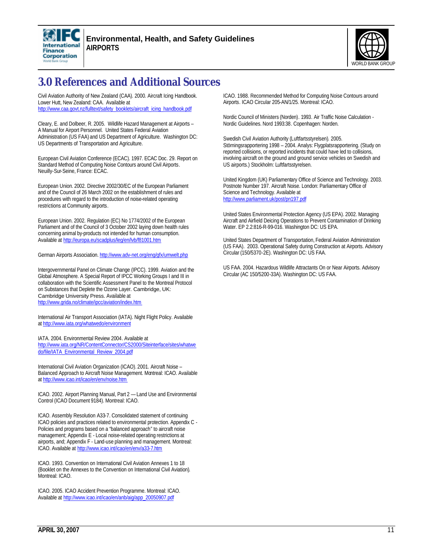



## **3.0 References and Additional Sources**

Civil Aviation Authority of New Zealand (CAA). 2000. Aircraft Icing Handbook. Lower Hutt, New Zealand: CAA. Available at http://www.caa.govt.nz/fulltext/safety\_booklets/aircraft\_icing\_handbook.pdf

Cleary, E. and Dolbeer, R. 2005. Wildlife Hazard Management at Airports – A Manual for Airport Personnel. United States Federal Aviation Administration (US FAA) and US Department of Agriculture. Washington DC: US Departments of Transportation and Agriculture.

European Civil Aviation Conference (ECAC). 1997. ECAC Doc. 29. Report on Standard Method of Computing Noise Contours around Civil Airports. Neuilly-Sur-Seine, France: ECAC.

European Union. 2002. Directive 2002/30/EC of the European Parliament and of the Council of 26 March 2002 on the establishment of rules and procedures with regard to the introduction of noise-related operating restrictions at Community airports.

European Union. 2002. Regulation (EC) No 1774/2002 of the European Parliament and of the Council of 3 October 2002 laying down health rules concerning animal by-products not intended for human consumption. Available at http://europa.eu/scadplus/leg/en/lvb/f81001.htm

German Airports Association. http://www.adv-net.org/eng/gfx/umwelt.php

Intergovernmental Panel on Climate Change (IPCC). 1999. Aviation and the Global Atmosphere. A Special Report of IPCC Working Groups I and III in collaboration with the Scientific Assessment Panel to the Montreal Protocol on Substances that Deplete the Ozone Layer. Cambridge, UK: Cambridge University Press. Available at http://www.grida.no/climate/ipcc/aviation/index.htm

International Air Transport Association (IATA). Night Flight Policy. Available at http://www.iata.org/whatwedo/environment

IATA. 2004. Environmental Review 2004. Available at http://www.iata.org/NR/ContentConnector/CS2000/Siteinterface/sites/whatwe do/file/IATA\_Environmental\_Review\_2004.pdf

International Civil Aviation Organization (ICAO). 2001. Aircraft Noise – Balanced Approach to Aircraft Noise Management. Montreal: ICAO. Available at http://www.icao.int/icao/en/env/noise.htm

ICAO. 2002. Airport Planning Manual, Part 2 — Land Use and Environmental Control (ICAO Document 9184). Montreal: ICAO.

ICAO. Assembly Resolution A33-7. Consolidated statement of continuing ICAO policies and practices related to environmental protection. Appendix C - Policies and programs based on a "balanced approach" to aircraft noise management; Appendix E - Local noise-related operating restrictions at airports, and; Appendix F - Land-use planning and management. Montreal: ICAO. Available at http://www.icao.int/icao/en/env/a33-7.htm

ICAO. 1993. Convention on International Civil Aviation Annexes 1 to 18 (Booklet on the Annexes to the Convention on International Civil Aviation). Montreal: ICAO.

ICAO. 2005. ICAO Accident Prevention Programme. Montreal: ICAO. Available at http://www.icao.int/icao/en/anb/aig/app\_20050907.pdf

ICAO. 1988. Recommended Method for Computing Noise Contours around Airports. ICAO Circular 205-AN/1/25. Montreal: ICAO.

Nordic Council of Ministers (Norden). 1993. Air Traffic Noise Calculation - Nordic Guidelines. Nord 1993:38. Copenhagen: Norden.

Swedish Civil Aviation Authority (Luftfartsstyrelsen). 2005. Störningsrapportering 1998 – 2004. Analys: Flygplatsrapportering. (Study on reported collisions, or reported incidents that could have led to collisions, involving aircraft on the ground and ground service vehicles on Swedish and US airports.) Stockholm: Luftfartsstyrelsen.

United Kingdom (UK) Parliamentary Office of Science and Technology. 2003. Postnote Number 197. Aircraft Noise. London: Parliamentary Office of Science and Technology. Available at http://www.parliament.uk/post/pn197.pdf

United States Environmental Protection Agency (US EPA). 2002. Managing Aircraft and Airfield Deicing Operations to Prevent Contamination of Drinking Water. EP 2.2:816-R-99-016. Washington DC: US EPA.

United States Department of Transportation, Federal Aviation Administration (US FAA). 2003. Operational Safety during Construction at Airports. Advisory Circular (150/5370-2E). Washington DC: US FAA.

US FAA. 2004. Hazardous Wildlife Attractants On or Near Airports. Advisory Circular (AC 150/5200-33A). Washington DC: US FAA.